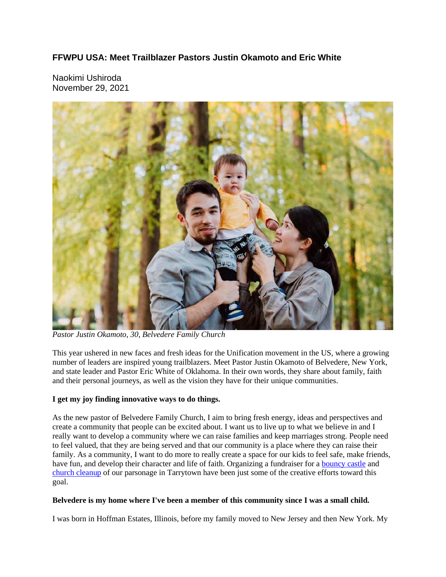### **FFWPU USA: Meet Trailblazer Pastors Justin Okamoto and Eric White**

Naokimi Ushiroda November 29, 2021



*Pastor Justin Okamoto, 30, Belvedere Family Church*

This year ushered in new faces and fresh ideas for the Unification movement in the US, where a growing number of leaders are inspired young trailblazers. Meet Pastor Justin Okamoto of Belvedere, New York, and state leader and Pastor Eric White of Oklahoma. In their own words, they share about family, faith and their personal journeys, as well as the vision they have for their unique communities.

#### **I get my joy finding innovative ways to do things.**

As the new pastor of Belvedere Family Church, I aim to bring fresh energy, ideas and perspectives and create a community that people can be excited about. I want us to live up to what we believe in and I really want to develop a community where we can raise families and keep marriages strong. People need to feel valued, that they are being served and that our community is a place where they can raise their family. As a community, I want to do more to really create a space for our kids to feel safe, make friends, have fun, and develop their character and life of faith. Organizing a fundraiser for a bouncy castle and church cleanup of our parsonage in Tarrytown have been just some of the creative efforts toward this goal.

#### **Belvedere is my home where I've been a member of this community since I was a small child.**

I was born in Hoffman Estates, Illinois, before my family moved to New Jersey and then New York. My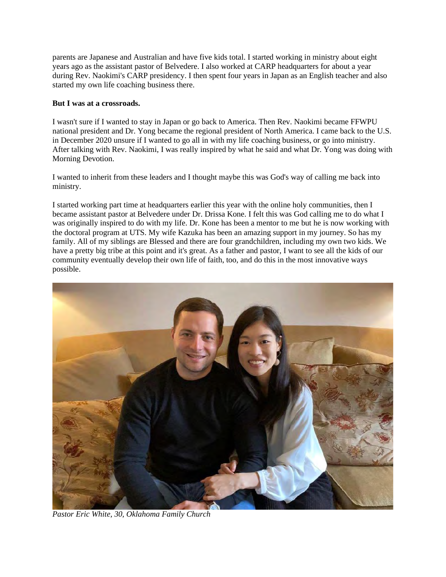parents are Japanese and Australian and have five kids total. I started working in ministry about eight years ago as the assistant pastor of Belvedere. I also worked at CARP headquarters for about a year during Rev. Naokimi's CARP presidency. I then spent four years in Japan as an English teacher and also started my own life coaching business there.

#### **But I was at a crossroads.**

I wasn't sure if I wanted to stay in Japan or go back to America. Then Rev. Naokimi became FFWPU national president and Dr. Yong became the regional president of North America. I came back to the U.S. in December 2020 unsure if I wanted to go all in with my life coaching business, or go into ministry. After talking with Rev. Naokimi, I was really inspired by what he said and what Dr. Yong was doing with Morning Devotion.

I wanted to inherit from these leaders and I thought maybe this was God's way of calling me back into ministry.

I started working part time at headquarters earlier this year with the online holy communities, then I became assistant pastor at Belvedere under Dr. Drissa Kone. I felt this was God calling me to do what I was originally inspired to do with my life. Dr. Kone has been a mentor to me but he is now working with the doctoral program at UTS. My wife Kazuka has been an amazing support in my journey. So has my family. All of my siblings are Blessed and there are four grandchildren, including my own two kids. We have a pretty big tribe at this point and it's great. As a father and pastor, I want to see all the kids of our community eventually develop their own life of faith, too, and do this in the most innovative ways possible.



*Pastor Eric White, 30, Oklahoma Family Church*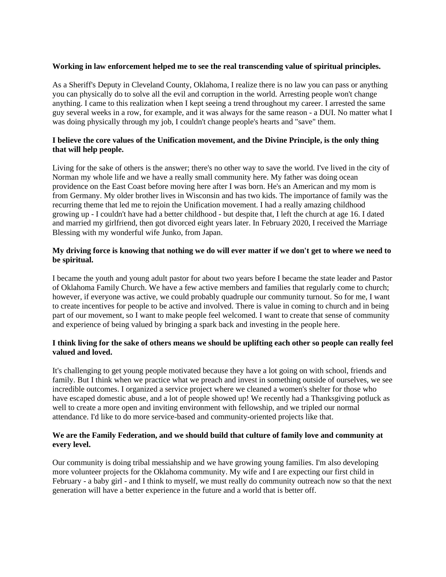#### **Working in law enforcement helped me to see the real transcending value of spiritual principles.**

As a Sheriff's Deputy in Cleveland County, Oklahoma, I realize there is no law you can pass or anything you can physically do to solve all the evil and corruption in the world. Arresting people won't change anything. I came to this realization when I kept seeing a trend throughout my career. I arrested the same guy several weeks in a row, for example, and it was always for the same reason - a DUI. No matter what I was doing physically through my job, I couldn't change people's hearts and "save" them.

#### **I believe the core values of the Unification movement, and the Divine Principle, is the only thing that will help people.**

Living for the sake of others is the answer; there's no other way to save the world. I've lived in the city of Norman my whole life and we have a really small community here. My father was doing ocean providence on the East Coast before moving here after I was born. He's an American and my mom is from Germany. My older brother lives in Wisconsin and has two kids. The importance of family was the recurring theme that led me to rejoin the Unification movement. I had a really amazing childhood growing up - I couldn't have had a better childhood - but despite that, I left the church at age 16. I dated and married my girlfriend, then got divorced eight years later. In February 2020, I received the Marriage Blessing with my wonderful wife Junko, from Japan.

#### My driving force is knowing that nothing we do will ever matter if we don't get to where we need to **be spiritual.**

I became the youth and young adult pastor for about two years before I became the state leader and Pastor of Oklahoma Family Church. We have a few active members and families that regularly come to church; however, if everyone was active, we could probably quadruple our community turnout. So for me, I want to create incentives for people to be active and involved. There is value in coming to church and in being part of our movement, so I want to make people feel welcomed. I want to create that sense of community and experience of being valued by bringing a spark back and investing in the people here.

#### I think living for the sake of others means we should be uplifting each other so people can really feel **valued and loved.**

It's challenging to get young people motivated because they have a lot going on with school, friends and family. But I think when we practice what we preach and invest in something outside of ourselves, we see incredible outcomes. I organized a service project where we cleaned a women's shelter for those who have escaped domestic abuse, and a lot of people showed up! We recently had a Thanksgiving potluck as well to create a more open and inviting environment with fellowship, and we tripled our normal attendance. I'd like to do more service-based and community-oriented projects like that.

#### **We are the Family Federation, and we should build that culture of family love and community at every level.**

Our community is doing tribal messiahship and we have growing young families. I'm also developing more volunteer projects for the Oklahoma community. My wife and I are expecting our first child in February - a baby girl - and I think to myself, we must really do community outreach now so that the next generation will have a better experience in the future and a world that is better off.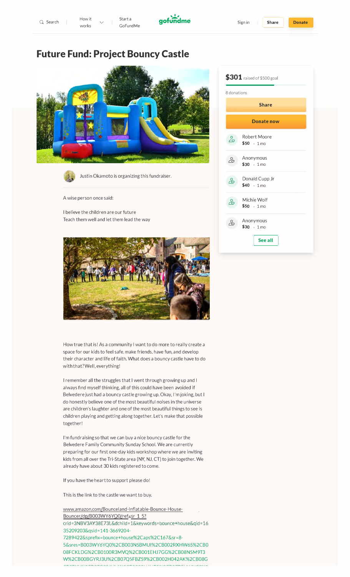

# **Future Fund: Project Bouncy Castle**





Justin Okamoto is organizing this fundraiser.

A wise person once said:

I believe the children are our future Teach them well and let them lead the way



How true that is! As a community I want to do more to really create a space for our kids to feel safe, make friends, have fun, and develop their character and life of faith. What does a bouncy castle have to do with that? Well, everything!

I remember all the struggles that I went through growing up and I always find myself thinking, all of this could have been avoided if Belvedere just had a bouncy castle growing up. Okay, I'm joking, but I do honestly believe one of the most beautiful noises in the universe are children's laughter and one of the most beautiful things to see is children playing and getting along together. Let's make that possible together!

I'm fundraising so that we can buy a nice bouncy castle for the Belvedere Family Community Sunday School. We are currently preparing for our first one-day kids workshop where we are inviting kids from all over the Tri-State area (NY, NJ, CT) to join together. We already have about 30 kids registered to come.

If you have the heart to support please do!

This is the link to the castle we want to buy.

www,amazon,com/Bounceland-lnflatable-Bounce-House-Bouncer/dp/B003WY6YQ0/ref=sr 1 5? crid=3NBV3AY38E73L&dchild=1&keywords=bounce+house&qid=16 35209203&qsid = 141-3669204- 7289422&sprefix=bounce+house%2Caps%2C167&sr=8-5&sres=B003WY6YQ0%2CB003NSBMUI%2CB002RXHW6S%2CB0 08FCKLDG%2CB0100R3MVQ%2CB001EHJ7GG%2CB08NSM9T3 W%2CB00BGYRJ3U%2CB07QSFBZS9%2CB002H042AK%2CB08G

| $$301$ raised of \$500 goal |                                      |  |
|-----------------------------|--------------------------------------|--|
| 8 donations                 |                                      |  |
|                             | <b>Share</b>                         |  |
|                             | <b>Donate now</b>                    |  |
| ్గి                         | Robert Moore<br>$$50 + 1 \text{mo}$  |  |
| ಹಿ                          | Anonymous<br>$$30 + 1 \text{mo}$     |  |
| යි                          | Donald Cupp Jr<br>$$40 + 1$ mo       |  |
| යි                          | Michie Wolf<br>$$50 \t1m0$           |  |
| ඨ                           | Anonymous<br>$$30 \div 1 \text{ mo}$ |  |
|                             | See all                              |  |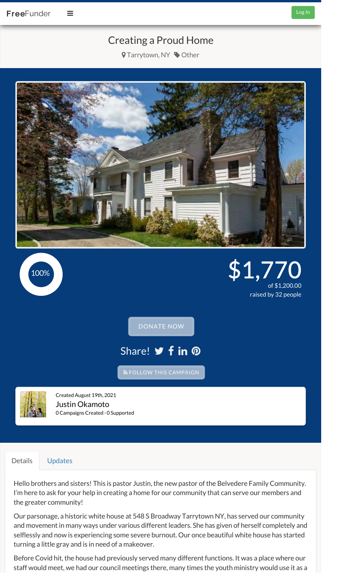# Creating a Proud Home

**9** Tarrytown, NY  $\bullet$  Other



Share! **y** f in @ FOLLOW THIS CAMPAIGN DONATE NOW  $\frac{100\%}{200\%}$   $\frac{1}{200\%}$   $\frac{51.7}{200\%}$ of \$1,200.00 raised by 32 people



Created August 19th, 2021 Justin Okamoto 0 Campaigns Created · 0 Supported

## Details Updates

Hello brothers and sisters! This is pastor Justin, the new pastor of the Belvedere Family Community. I'm here to ask for your help in creating a home for our community that can serve our members and the greater community!

Our parsonage, a historic white house at 548 S Broadway Tarrytown NY, has served our community and movement in many ways under various different leaders. She has given of herself completely and selflessly and now is experiencing some severe burnout. Our once beautiful white house has started turning a little gray and is in need of a makeover.

Before Covid hit, the house had previously served many different functions. It was a place where our staff would meet, we had our council meetings there, many times the youth ministry would use it as a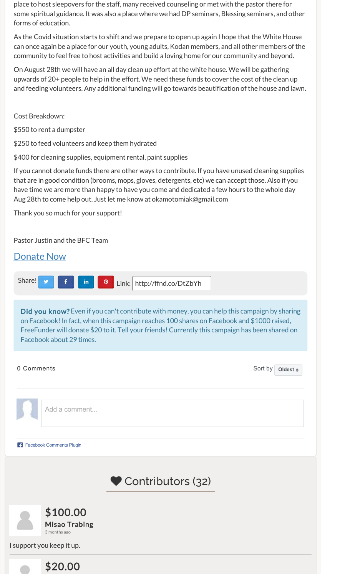place to host sleepovers for the staff, many received counseling or met with the pastor there for some spiritual guidance. It was also a place where we had DP seminars, Blessing seminars, and other forms of education.

As the Covid situation starts to shift and we prepare to open up again I hope that the White House can once again be a place for our youth, young adults, Kodan members, and all other members of the community to feel free to host activities and build a loving home for our community and beyond.

On August 28th we will have an all day clean up effort at the white house. We will be gathering upwards of 20+ people to help in the effort. We need these funds to cover the cost of the clean up and feeding volunteers. Any additional funding will go towards beautification of the house and lawn.

Cost Breakdown:

\$550 to rent a dumpster

\$250 to feed volunteers and keep them hydrated

\$400 for cleaning supplies, equipment rental, paint supplies

If you cannot donate funds there are other ways to contribute. If you have unused cleaning supplies that are in good condition (brooms, mops, gloves, detergents, etc) we can accept those. Also if you have time we are more than happy to have you come and dedicated a few hours to the whole day Aug 28th to come help out. Just let me know at okamotomiak@gmail.com

Thank you so much for your support!

Pastor Justin and the BFC Team

## Donate Now



Did you know? Even if you can't contribute with money, you can help this campaign by sharing on Facebook! In fact, when this campaign reaches 100 shares on Facebook and \$1000 raised, FreeFunder will donate \$20 to it. Tell your friends! Currently this campaign has been shared on Facebook about 29 times.

## 0 Comments Sort by Sort by Sort by Sort by Sort by Sort by Sort by Sort by Sort by Sort by Sort by Sort by Sort by Sort by Sort by Sort by Sort by Sort by Sort by Sort by Sort by Sort by Sort by Sort by Sort by Sort by Sor

**Oldest**

Add a comment...

**Facebook Comments Plugin** 





I support you keep it up.

\$20.00